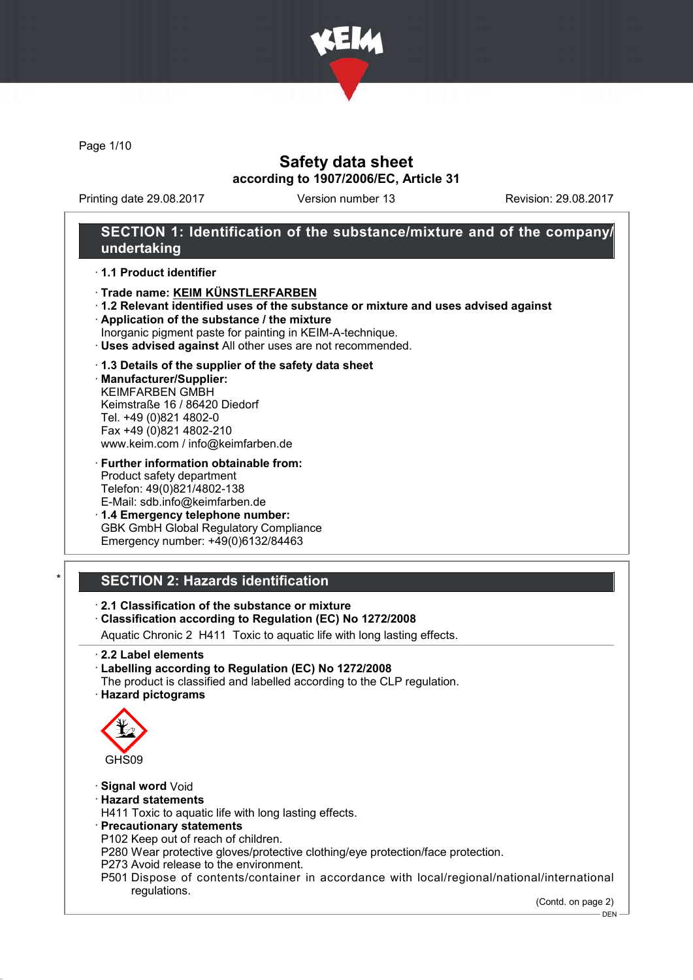

Page 1/10

## Safety data sheet according to 1907/2006/EC, Article 31

Printing date 29.08.2017 Version number 13 Revision: 29.08.2017

## SECTION 1: Identification of the substance/mixture and of the company/ undertaking

#### · 1.1 Product identifier

- · Trade name: KEIM KÜNSTLERFARBEN
- · 1.2 Relevant identified uses of the substance or mixture and uses advised against
- · Application of the substance / the mixture
- Inorganic pigment paste for painting in KEIM-A-technique.
- · Uses advised against All other uses are not recommended.

#### · 1.3 Details of the supplier of the safety data sheet

· Manufacturer/Supplier: KEIMFARBEN GMBH Keimstraße 16 / 86420 Diedorf Tel. +49 (0)821 4802-0 Fax +49 (0)821 4802-210 www.keim.com / info@keimfarben.de

· Further information obtainable from: Product safety department Telefon: 49(0)821/4802-138 E-Mail: sdb.info@keimfarben.de

· 1.4 Emergency telephone number: GBK GmbH Global Regulatory Compliance Emergency number: +49(0)6132/84463

## **SECTION 2: Hazards identification**

### · 2.1 Classification of the substance or mixture

## · Classification according to Regulation (EC) No 1272/2008

Aquatic Chronic 2 H411 Toxic to aquatic life with long lasting effects.

· 2.2 Label elements

#### · Labelling according to Regulation (EC) No 1272/2008

The product is classified and labelled according to the CLP regulation. · Hazard pictograms



#### · Signal word Void

- · Hazard statements
- H411 Toxic to aquatic life with long lasting effects.
- · Precautionary statements
- P102 Keep out of reach of children.

P280 Wear protective gloves/protective clothing/eye protection/face protection.

- P273 Avoid release to the environment.
- P501 Dispose of contents/container in accordance with local/regional/national/international regulations.

(Contd. on page 2)

DEN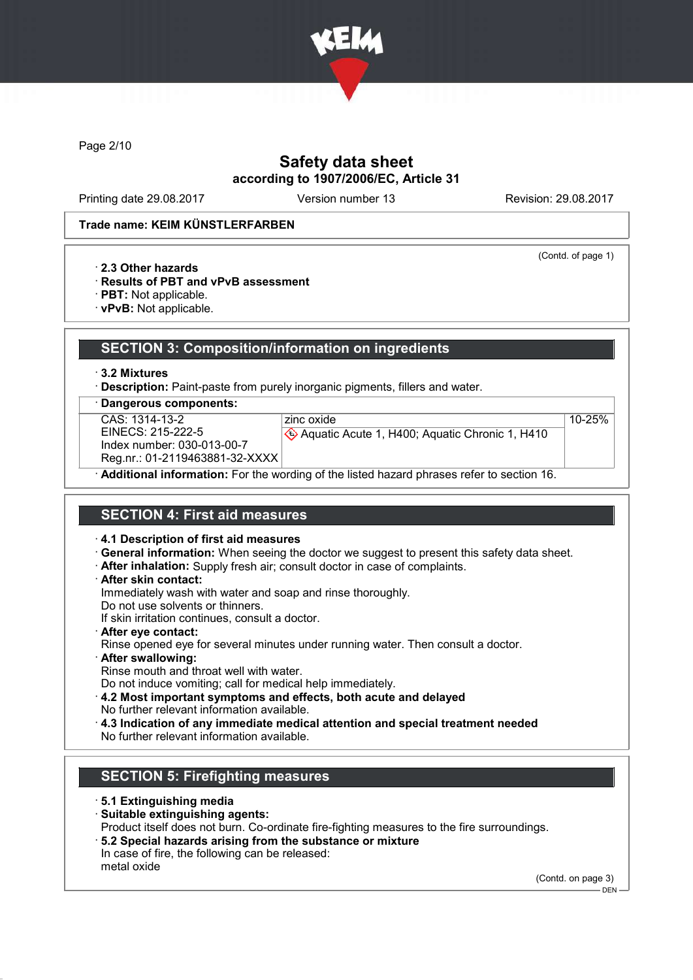

Page 2/10

## Safety data sheet according to 1907/2006/EC, Article 31

Printing date 29.08.2017 Version number 13 Revision: 29.08.2017

(Contd. of page 1)

10-25%

#### Trade name: KEIM KÜNSTLERFARBEN

- · 2.3 Other hazards
- · Results of PBT and vPvB assessment
- · PBT: Not applicable.
- · vPvB: Not applicable.

### SECTION 3: Composition/information on ingredients

· 3.2 Mixtures

· Description: Paint-paste from purely inorganic pigments, fillers and water.

· Dangerous components:

| CAS: 1314-13-2                                                                   |
|----------------------------------------------------------------------------------|
| EINECS: 215-222-5                                                                |
| Index number: 030-013-00-7                                                       |
| $D_{1}$ $\cdots$ $D_{4}$ $D_{4}$ $D_{5}$ $D_{6}$ $D_{7}$ $D_{8}$ $D_{9}$ $D_{1}$ |

zinc oxide Aquatic Acute 1, H400; Aquatic Chronic 1, H410

Reg.nr.: 01-2119463881-32-XXXX

· Additional information: For the wording of the listed hazard phrases refer to section 16.

## SECTION 4: First aid measures

· 4.1 Description of first aid measures

- · General information: When seeing the doctor we suggest to present this safety data sheet.
- · After inhalation: Supply fresh air; consult doctor in case of complaints.
- · After skin contact:

Immediately wash with water and soap and rinse thoroughly.

Do not use solvents or thinners.

If skin irritation continues, consult a doctor.

- · After eye contact: Rinse opened eye for several minutes under running water. Then consult a doctor.
- · After swallowing:

Rinse mouth and throat well with water.

Do not induce vomiting; call for medical help immediately.

- · 4.2 Most important symptoms and effects, both acute and delayed No further relevant information available.
- · 4.3 Indication of any immediate medical attention and special treatment needed

No further relevant information available.

## SECTION 5: Firefighting measures

- · 5.1 Extinguishing media
- · Suitable extinguishing agents:
- Product itself does not burn. Co-ordinate fire-fighting measures to the fire surroundings.
- · 5.2 Special hazards arising from the substance or mixture In case of fire, the following can be released:
- metal oxide

(Contd. on page 3)

DEN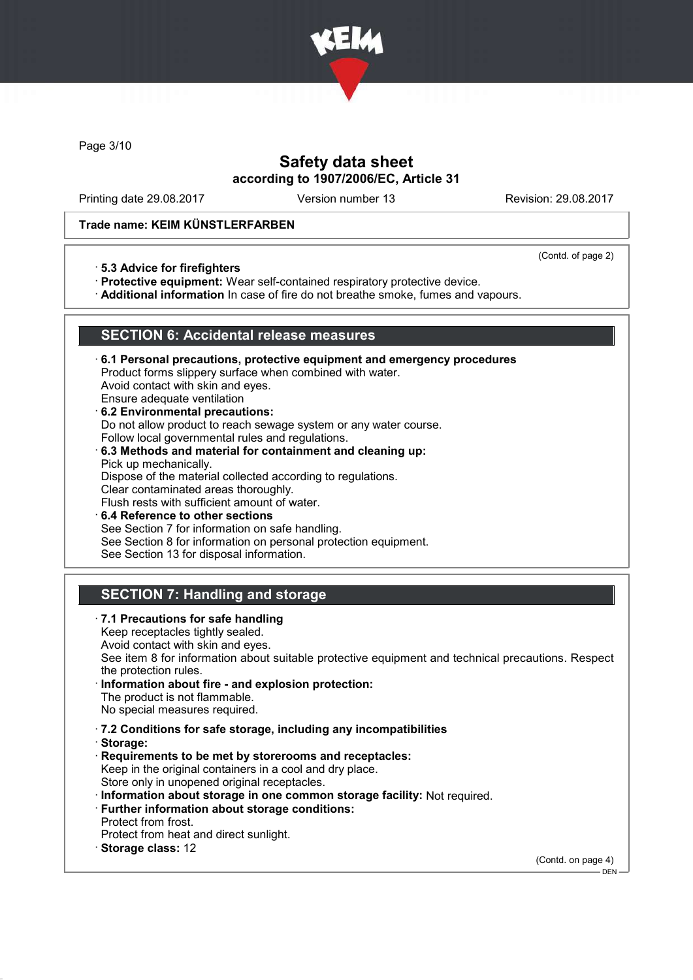

Page 3/10

## Safety data sheet according to 1907/2006/EC, Article 31

Printing date 29.08.2017 Version number 13 Revision: 29.08.2017

#### Trade name: KEIM KÜNSTLERFARBEN

(Contd. of page 2)

· 5.3 Advice for firefighters

· Protective equipment: Wear self-contained respiratory protective device.

· Additional information In case of fire do not breathe smoke, fumes and vapours.

### SECTION 6: Accidental release measures

- · 6.1 Personal precautions, protective equipment and emergency procedures Product forms slippery surface when combined with water. Avoid contact with skin and eyes. Ensure adequate ventilation
- · 6.2 Environmental precautions: Do not allow product to reach sewage system or any water course. Follow local governmental rules and regulations. · 6.3 Methods and material for containment and cleaning up:
- Pick up mechanically. Dispose of the material collected according to regulations. Clear contaminated areas thoroughly. Flush rests with sufficient amount of water.
- 6.4 Reference to other sections See Section 7 for information on safe handling. See Section 8 for information on personal protection equipment. See Section 13 for disposal information.

# SECTION 7: Handling and storage

· 7.1 Precautions for safe handling Keep receptacles tightly sealed. Avoid contact with skin and eyes. See item 8 for information about suitable protective equipment and technical precautions. Respect the protection rules. · Information about fire - and explosion protection: The product is not flammable. No special measures required. · 7.2 Conditions for safe storage, including any incompatibilities · Storage: · Requirements to be met by storerooms and receptacles: Keep in the original containers in a cool and dry place. Store only in unopened original receptacles. · Information about storage in one common storage facility: Not required. · Further information about storage conditions: Protect from frost. Protect from heat and direct sunlight. · Storage class: 12 (Contd. on page 4)

 $-$  DEN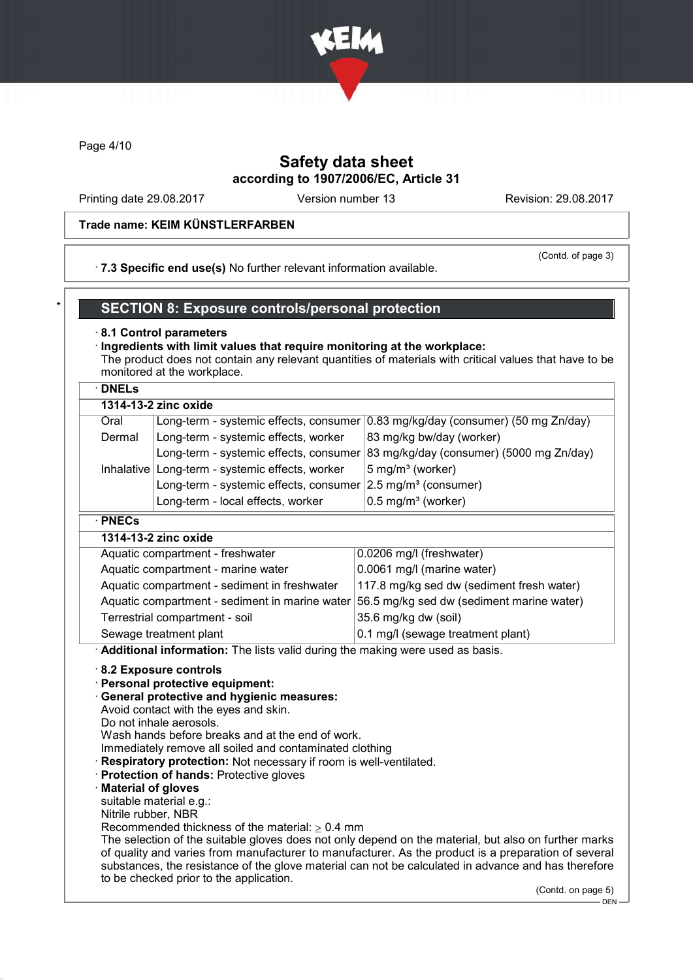

Page 4/10

## Safety data sheet according to 1907/2006/EC, Article 31

Printing date 29.08.2017 Version number 13 Revision: 29.08.2017

#### Trade name: KEIM KÜNSTLERFARBEN

#### · 7.3 Specific end use(s) No further relevant information available.

(Contd. of page 3)

## SECTION 8: Exposure controls/personal protection

#### · 8.1 Control parameters

· Ingredients with limit values that require monitoring at the workplace: The product does not contain any relevant quantities of materials with critical values that have to be monitored at the workplace.

### · DNELs

| 1314-13-2 zinc oxide |                                                                           |                                                                                 |  |
|----------------------|---------------------------------------------------------------------------|---------------------------------------------------------------------------------|--|
| Oral                 |                                                                           | Long-term - systemic effects, consumer 0.83 mg/kg/day (consumer) (50 mg Zn/day) |  |
| Dermal               | Long-term - systemic effects, worker                                      | 83 mg/kg bw/day (worker)                                                        |  |
|                      |                                                                           | Long-term - systemic effects, consumer 83 mg/kg/day (consumer) (5000 mg Zn/day) |  |
|                      | Inhalative   Long-term - systemic effects, worker                         | 5 mg/m <sup>3</sup> (worker)                                                    |  |
|                      | Long-term - systemic effects, consumer $2.5$ mg/m <sup>3</sup> (consumer) |                                                                                 |  |
|                      | Long-term - local effects, worker                                         | $0.5$ mg/m <sup>3</sup> (worker)                                                |  |
| $\cdot$ PNECs        |                                                                           |                                                                                 |  |
| 1314-13-2 zinc oxide |                                                                           |                                                                                 |  |
|                      | Aquatic compartment freebwater                                            | 0.0206 mall (freebwater)                                                        |  |

| Aquatic compartment - freshwater               | 0.0206 mg/l (freshwater)                  |
|------------------------------------------------|-------------------------------------------|
| Aquatic compartment - marine water             | 0.0061 mg/l (marine water)                |
| Aquatic compartment - sediment in freshwater   | 117.8 mg/kg sed dw (sediment fresh water) |
| Aquatic compartment - sediment in marine water | 56.5 mg/kg sed dw (sediment marine water) |
| Terrestrial compartment - soil                 | 35.6 mg/kg dw (soil)                      |
| Sewage treatment plant                         | 0.1 mg/l (sewage treatment plant)         |

· Additional information: The lists valid during the making were used as basis.

#### · 8.2 Exposure controls

- · Personal protective equipment:
- · General protective and hygienic measures:

Avoid contact with the eyes and skin.

Do not inhale aerosols.

Wash hands before breaks and at the end of work.

Immediately remove all soiled and contaminated clothing

- **Respiratory protection:** Not necessary if room is well-ventilated.
- · Protection of hands: Protective gloves
- · Material of gloves

suitable material e.g.:

Nitrile rubber, NBR

Recommended thickness of the material:  $> 0.4$  mm

The selection of the suitable gloves does not only depend on the material, but also on further marks of quality and varies from manufacturer to manufacturer. As the product is a preparation of several substances, the resistance of the glove material can not be calculated in advance and has therefore to be checked prior to the application.

(Contd. on page 5)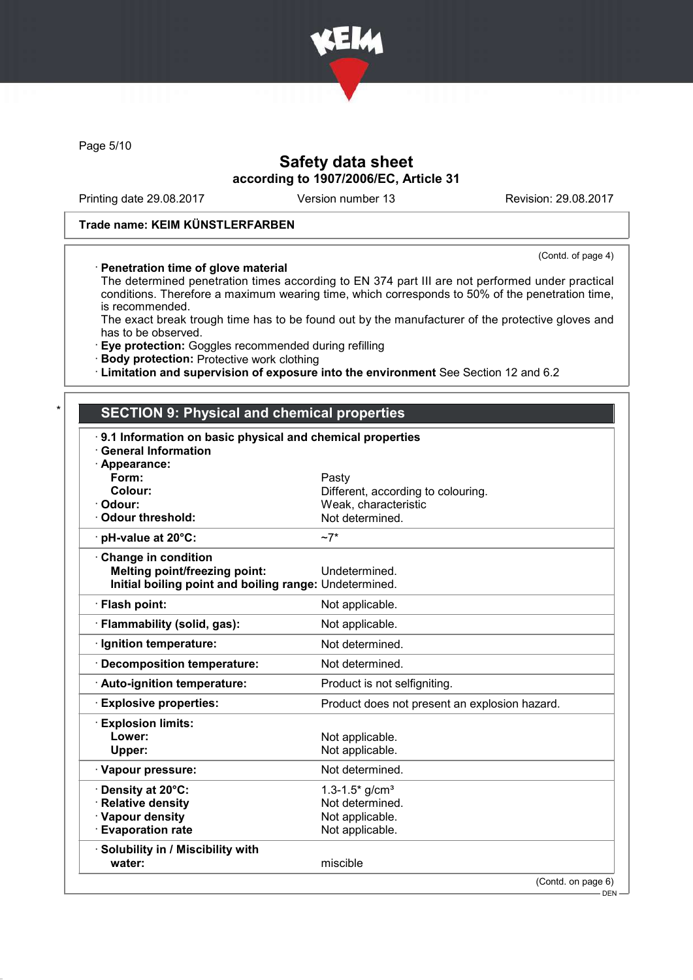

Page 5/10

## Safety data sheet according to 1907/2006/EC, Article 31

Printing date 29.08.2017 Version number 13 Revision: 29.08.2017

(Contd. of page 4)

### Trade name: KEIM KÜNSTLERFARBEN

#### · Penetration time of glove material

The determined penetration times according to EN 374 part III are not performed under practical conditions. Therefore a maximum wearing time, which corresponds to 50% of the penetration time, is recommended.

The exact break trough time has to be found out by the manufacturer of the protective gloves and has to be observed.

· Eye protection: Goggles recommended during refilling

· Body protection: Protective work clothing

· Limitation and supervision of exposure into the environment See Section 12 and 6.2

## **SECTION 9: Physical and chemical properties**

| 9.1 Information on basic physical and chemical properties |                                                            |
|-----------------------------------------------------------|------------------------------------------------------------|
| <b>General Information</b>                                |                                                            |
| · Appearance:<br>Form:                                    |                                                            |
| Colour:                                                   | Pasty                                                      |
| Odour:                                                    | Different, according to colouring.<br>Weak, characteristic |
| Odour threshold:                                          | Not determined.                                            |
|                                                           | $~1$ ~7*                                                   |
| · pH-value at 20°C:                                       |                                                            |
| Change in condition                                       |                                                            |
| <b>Melting point/freezing point:</b>                      | Undetermined.                                              |
| Initial boiling point and boiling range: Undetermined.    |                                                            |
| · Flash point:                                            | Not applicable.                                            |
| · Flammability (solid, gas):                              | Not applicable.                                            |
| · Ignition temperature:                                   | Not determined.                                            |
| · Decomposition temperature:                              | Not determined.                                            |
| · Auto-ignition temperature:                              | Product is not selfigniting.                               |
| <b>Explosive properties:</b>                              | Product does not present an explosion hazard.              |
| <b>Explosion limits:</b>                                  |                                                            |
| Lower:                                                    | Not applicable.                                            |
| Upper:                                                    | Not applicable.                                            |
| · Vapour pressure:                                        | Not determined.                                            |
| Density at 20°C:                                          | $1.3 - 1.5$ * g/cm <sup>3</sup>                            |
| <b>Relative density</b>                                   | Not determined.                                            |
| · Vapour density                                          | Not applicable.                                            |
| <b>Evaporation rate</b>                                   | Not applicable.                                            |
| · Solubility in / Miscibility with                        |                                                            |
| water:                                                    | miscible                                                   |
|                                                           | (Contd. on page 6)                                         |
|                                                           | DEN-                                                       |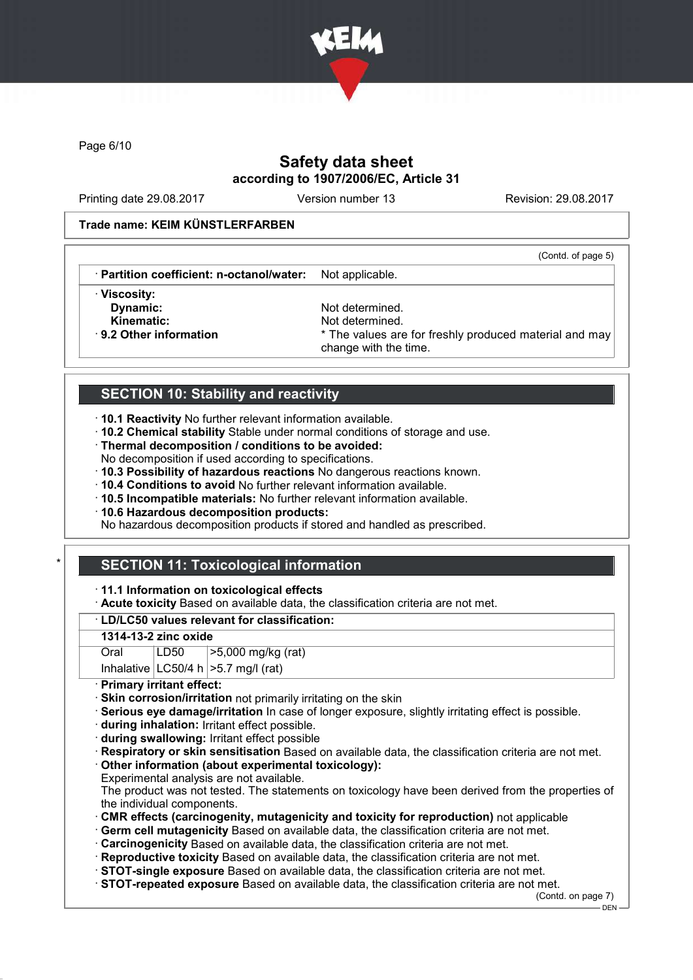

Page 6/10

# Safety data sheet according to 1907/2006/EC, Article 31

Printing date 29.08.2017 Version number 13 Revision: 29.08.2017

(Contd. of page 5)

#### Trade name: KEIM KÜNSTLERFARBEN

· Partition coefficient: n-octanol/water: Not applicable.

· Viscosity:

Dynamic: Not determined. Kinematic: Not determined.<br>B. 2 Other information **Accord 1998** The values are \* The values are for freshly produced material and may change with the time.

## SECTION 10: Stability and reactivity

- · 10.1 Reactivity No further relevant information available.
- · 10.2 Chemical stability Stable under normal conditions of storage and use.
- · Thermal decomposition / conditions to be avoided:
- No decomposition if used according to specifications.
- · 10.3 Possibility of hazardous reactions No dangerous reactions known.
- · 10.4 Conditions to avoid No further relevant information available.
- · 10.5 Incompatible materials: No further relevant information available.
- · 10.6 Hazardous decomposition products:

No hazardous decomposition products if stored and handled as prescribed.

# **SECTION 11: Toxicological information**

#### · 11.1 Information on toxicological effects

· Acute toxicity Based on available data, the classification criteria are not met.

## · LD/LC50 values relevant for classification:

#### 1314-13-2 zinc oxide

| Oral | LD50 | >5,000 mg/kg (rat)                       |
|------|------|------------------------------------------|
|      |      | Inhalative $ LC50/4 h  > 5.7 mg/l$ (rat) |

### · Primary irritant effect:

- · Skin corrosion/irritation not primarily irritating on the skin
- · Serious eye damage/irritation In case of longer exposure, slightly irritating effect is possible.
- · during inhalation: Irritant effect possible.
- · during swallowing: Irritant effect possible
- · Respiratory or skin sensitisation Based on available data, the classification criteria are not met.
- · Other information (about experimental toxicology):
- Experimental analysis are not available.
- The product was not tested. The statements on toxicology have been derived from the properties of the individual components.
- · CMR effects (carcinogenity, mutagenicity and toxicity for reproduction) not applicable
- · Germ cell mutagenicity Based on available data, the classification criteria are not met.
- · Carcinogenicity Based on available data, the classification criteria are not met.
- · Reproductive toxicity Based on available data, the classification criteria are not met.
- · STOT-single exposure Based on available data, the classification criteria are not met.
- · STOT-repeated exposure Based on available data, the classification criteria are not met.

(Contd. on page 7)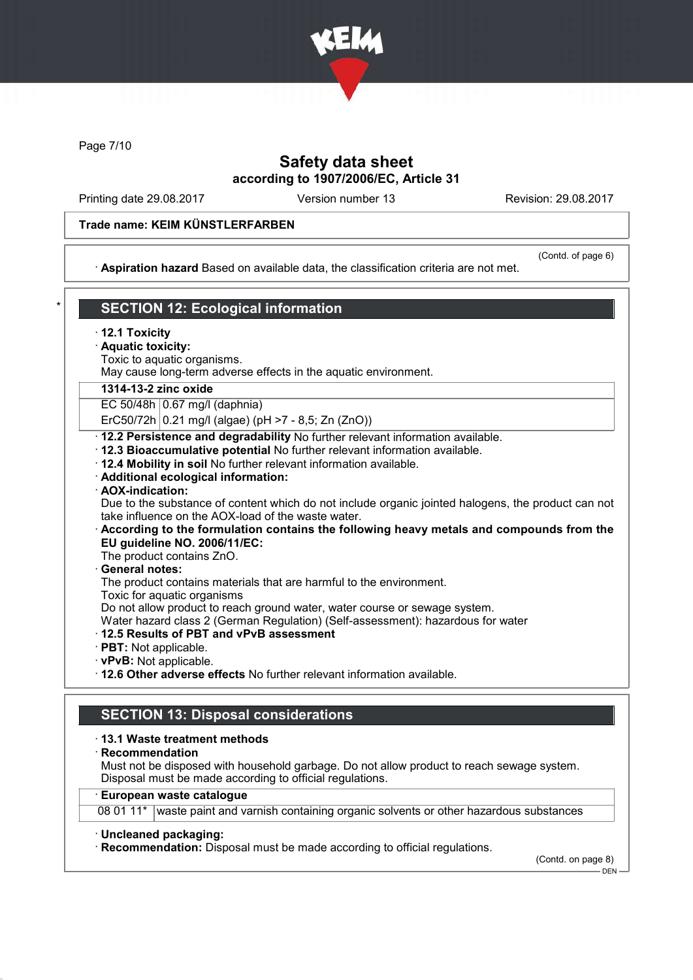

Page 7/10

## Safety data sheet according to 1907/2006/EC, Article 31

Printing date 29.08.2017 Version number 13 Revision: 29.08.2017

#### Trade name: KEIM KÜNSTLERFARBEN

· Aspiration hazard Based on available data, the classification criteria are not met.

(Contd. of page 6)

# **SECTION 12: Ecological information**

- · 12.1 Toxicity
- · Aquatic toxicity:
- Toxic to aquatic organisms.

May cause long-term adverse effects in the aquatic environment.

#### 1314-13-2 zinc oxide

EC 50/48h 0.67 mg/l (daphnia)

ErC50/72h  $|0.21 \text{ mg/l}$  (algae) (pH >7 - 8,5; Zn (ZnO))

· 12.2 Persistence and degradability No further relevant information available.

- · 12.3 Bioaccumulative potential No further relevant information available.
- · 12.4 Mobility in soil No further relevant information available.
- · Additional ecological information:

#### · AOX-indication:

Due to the substance of content which do not include organic jointed halogens, the product can not take influence on the AOX-load of the waste water.

- · According to the formulation contains the following heavy metals and compounds from the EU guideline NO. 2006/11/EC:
- The product contains ZnO.
- General notes:

The product contains materials that are harmful to the environment.

Toxic for aquatic organisms

Do not allow product to reach ground water, water course or sewage system.

Water hazard class 2 (German Regulation) (Self-assessment): hazardous for water

#### · 12.5 Results of PBT and vPvB assessment

- · PBT: Not applicable.
- · vPvB: Not applicable.
- · 12.6 Other adverse effects No further relevant information available.

## SECTION 13: Disposal considerations

#### · 13.1 Waste treatment methods

· Recommendation

Must not be disposed with household garbage. Do not allow product to reach sewage system. Disposal must be made according to official regulations.

#### · European waste catalogue

08 01 11\* waste paint and varnish containing organic solvents or other hazardous substances

#### · Uncleaned packaging:

· Recommendation: Disposal must be made according to official regulations.

(Contd. on page 8) DEN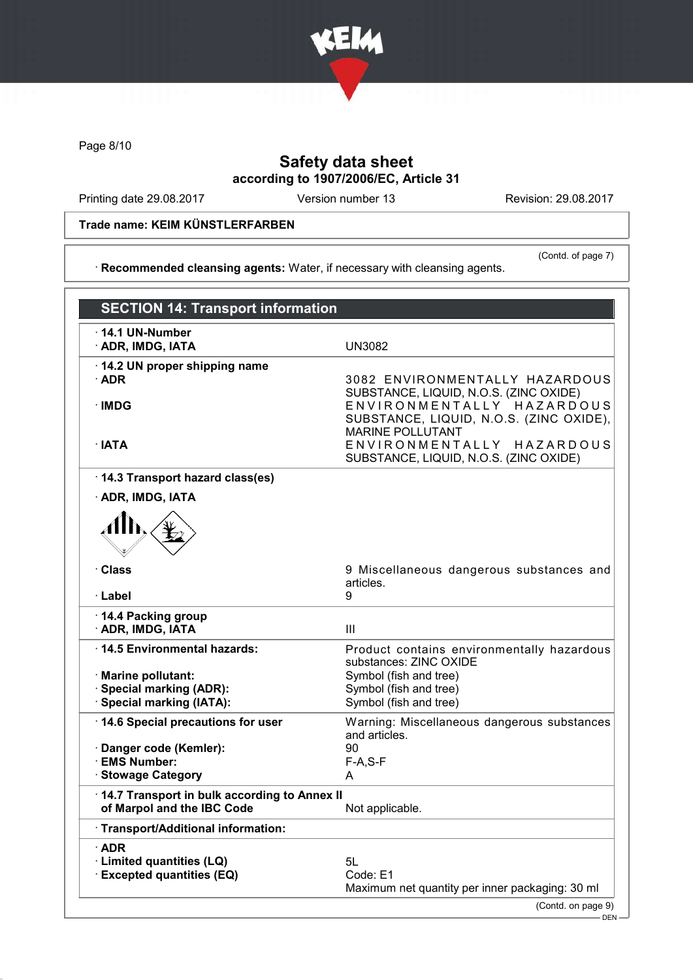

Page 8/10

# Safety data sheet according to 1907/2006/EC, Article 31

Printing date 29.08.2017 Version number 13 Revision: 29.08.2017

Trade name: KEIM KÜNSTLERFARBEN

(Contd. of page 7)

· Recommended cleansing agents: Water, if necessary with cleansing agents.

| <b>SECTION 14: Transport information</b>      |                                                                                                                |
|-----------------------------------------------|----------------------------------------------------------------------------------------------------------------|
| $\cdot$ 14.1 UN-Number<br>· ADR, IMDG, IATA   | <b>UN3082</b>                                                                                                  |
| 14.2 UN proper shipping name<br>$\cdot$ ADR   | 3082 ENVIRONMENTALLY HAZARDOUS                                                                                 |
| ·IMDG                                         | SUBSTANCE, LIQUID, N.O.S. (ZINC OXIDE)<br>ENVIRONMENTALLY HAZARDOUS<br>SUBSTANCE, LIQUID, N.O.S. (ZINC OXIDE), |
| $\cdot$ IATA                                  | <b>MARINE POLLUTANT</b><br>ENVIRONMENTALLY HAZARDOUS<br>SUBSTANCE, LIQUID, N.O.S. (ZINC OXIDE)                 |
| 14.3 Transport hazard class(es)               |                                                                                                                |
| · ADR, IMDG, IATA                             |                                                                                                                |
|                                               |                                                                                                                |
| · Class<br>· Label                            | 9 Miscellaneous dangerous substances and<br>articles.<br>9                                                     |
| 14.4 Packing group                            |                                                                                                                |
| · ADR, IMDG, IATA                             | III                                                                                                            |
| ⋅14.5 Environmental hazards:                  | Product contains environmentally hazardous                                                                     |
| · Marine pollutant:                           | substances: ZINC OXIDE<br>Symbol (fish and tree)                                                               |
| <b>Special marking (ADR):</b>                 | Symbol (fish and tree)                                                                                         |
| · Special marking (IATA):                     | Symbol (fish and tree)                                                                                         |
| 14.6 Special precautions for user             | Warning: Miscellaneous dangerous substances<br>and articles.                                                   |
| · Danger code (Kemler):<br><b>EMS Number:</b> | 90                                                                                                             |
| · Stowage Category                            | $F-A, S-F$<br>A                                                                                                |
| 14.7 Transport in bulk according to Annex II  |                                                                                                                |
| of Marpol and the IBC Code                    | Not applicable.                                                                                                |
| Transport/Additional information:             |                                                                                                                |
| $\cdot$ ADR                                   |                                                                                                                |
| · Limited quantities (LQ)                     | 5L                                                                                                             |
| <b>Excepted quantities (EQ)</b>               | Code: E1<br>Maximum net quantity per inner packaging: 30 ml                                                    |
|                                               | (Contd. on page 9)                                                                                             |
|                                               | DEN-                                                                                                           |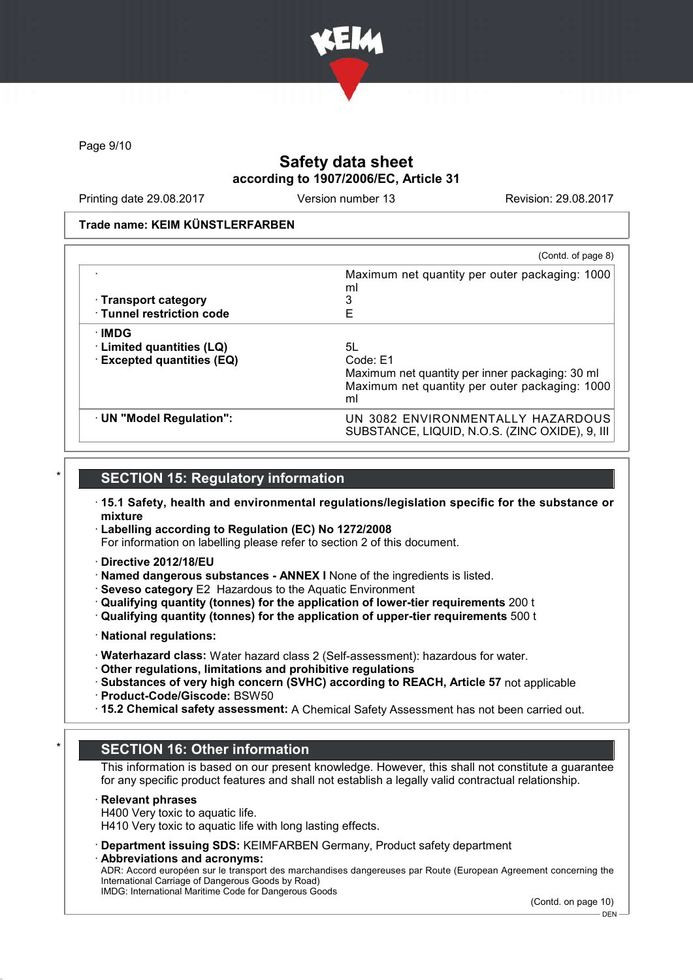

Page 9/10

# Safety data sheet according to 1907/2006/EC, Article 31

Printing date 29.08.2017 Version number 13 Revision: 29.08.2017

#### Trade name: KEIM KÜNSTLERFARBEN

|                                 | (Contd. of page 8)                                                                  |
|---------------------------------|-------------------------------------------------------------------------------------|
|                                 | Maximum net quantity per outer packaging: 1000<br>ml                                |
| $\cdot$ Transport category      |                                                                                     |
| · Tunnel restriction code       | E                                                                                   |
| ∙IMDG                           |                                                                                     |
| $\cdot$ Limited quantities (LQ) | 5L                                                                                  |
| <b>Excepted quantities (EQ)</b> | Code: E1                                                                            |
|                                 | Maximum net quantity per inner packaging: 30 ml                                     |
|                                 | Maximum net quantity per outer packaging: 1000<br>ml                                |
| · UN "Model Regulation":        | UN 3082 ENVIRONMENTALLY HAZARDOUS<br>SUBSTANCE, LIQUID, N.O.S. (ZINC OXIDE), 9, III |

## **SECTION 15: Requiatory information**

- · 15.1 Safety, health and environmental regulations/legislation specific for the substance or mixture
- · Labelling according to Regulation (EC) No 1272/2008
- For information on labelling please refer to section 2 of this document.
- · Directive 2012/18/EU
- · Named dangerous substances ANNEX I None of the ingredients is listed.
- · Seveso category E2 Hazardous to the Aquatic Environment
- · Qualifying quantity (tonnes) for the application of lower-tier requirements 200 t
- · Qualifying quantity (tonnes) for the application of upper-tier requirements 500 t
- · National regulations:
- · Waterhazard class: Water hazard class 2 (Self-assessment): hazardous for water.
- · Other regulations, limitations and prohibitive regulations
- · Substances of very high concern (SVHC) according to REACH, Article 57 not applicable · Product-Code/Giscode: BSW50
- · 15.2 Chemical safety assessment: A Chemical Safety Assessment has not been carried out.

## **SECTION 16: Other information**

This information is based on our present knowledge. However, this shall not constitute a guarantee for any specific product features and shall not establish a legally valid contractual relationship.

#### · Relevant phrases

H400 Very toxic to aquatic life.

H410 Very toxic to aquatic life with long lasting effects.

· Department issuing SDS: KEIMFARBEN Germany, Product safety department

· Abbreviations and acronyms: ADR: Accord européen sur le transport des marchandises dangereuses par Route (European Agreement concerning the International Carriage of Dangerous Goods by Road) IMDG: International Maritime Code for Dangerous Goods

(Contd. on page 10)

DEN